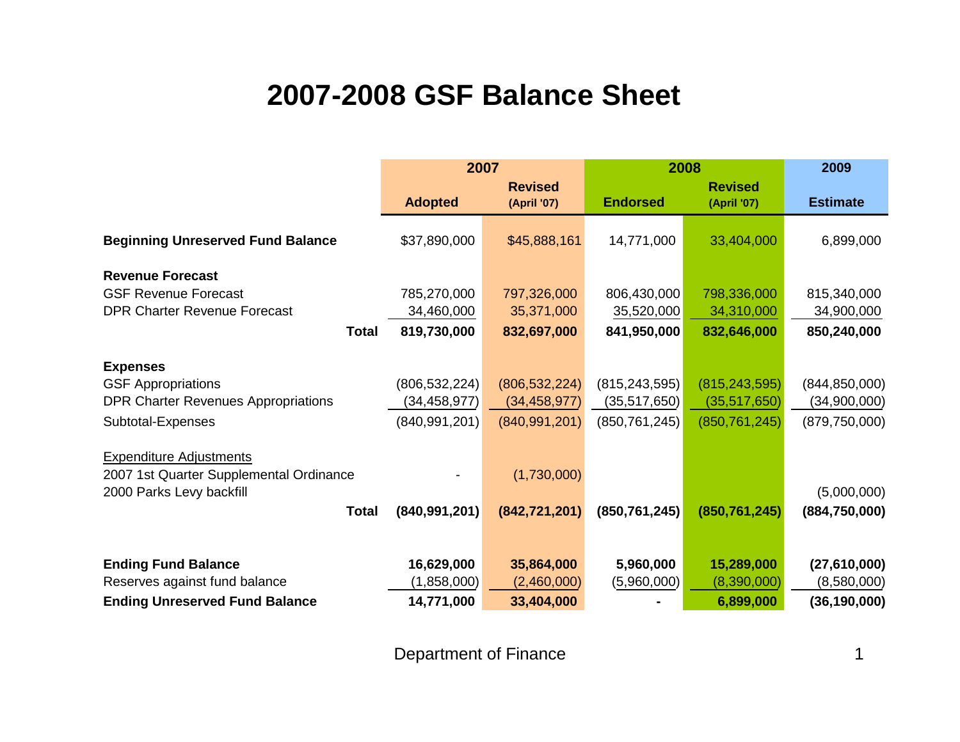## **2007-2008 GSF Balance Sheet**

|                                            | 2007            |                               | 2008            | 2009                          |                 |
|--------------------------------------------|-----------------|-------------------------------|-----------------|-------------------------------|-----------------|
|                                            | <b>Adopted</b>  | <b>Revised</b><br>(April '07) | <b>Endorsed</b> | <b>Revised</b><br>(April '07) | <b>Estimate</b> |
|                                            |                 |                               |                 |                               |                 |
| <b>Beginning Unreserved Fund Balance</b>   | \$37,890,000    | \$45,888,161                  | 14,771,000      | 33,404,000                    | 6,899,000       |
| <b>Revenue Forecast</b>                    |                 |                               |                 |                               |                 |
| <b>GSF Revenue Forecast</b>                | 785,270,000     | 797,326,000                   | 806,430,000     | 798,336,000                   | 815,340,000     |
| <b>DPR Charter Revenue Forecast</b>        |                 |                               |                 |                               |                 |
|                                            | 34,460,000      | 35,371,000                    | 35,520,000      | 34,310,000                    | 34,900,000      |
| <b>Total</b>                               | 819,730,000     | 832,697,000                   | 841,950,000     | 832,646,000                   | 850,240,000     |
|                                            |                 |                               |                 |                               |                 |
| <b>Expenses</b>                            |                 |                               |                 |                               |                 |
| <b>GSF Appropriations</b>                  | (806, 532, 224) | (806, 532, 224)               | (815, 243, 595) | (815, 243, 595)               | (844, 850, 000) |
| <b>DPR Charter Revenues Appropriations</b> | (34, 458, 977)  | (34, 458, 977)                | (35, 517, 650)  | (35,517,650)                  | (34,900,000)    |
| Subtotal-Expenses                          | (840, 991, 201) | (840, 991, 201)               | (850, 761, 245) | (850, 761, 245)               | (879, 750, 000) |
|                                            |                 |                               |                 |                               |                 |
| <b>Expenditure Adjustments</b>             |                 |                               |                 |                               |                 |
| 2007 1st Quarter Supplemental Ordinance    |                 | (1,730,000)                   |                 |                               |                 |
| 2000 Parks Levy backfill                   |                 |                               |                 |                               | (5,000,000)     |
| <b>Total</b>                               | (840, 991, 201) | (842, 721, 201)               | (850, 761, 245) | (850, 761, 245)               | (884, 750, 000) |
|                                            |                 |                               |                 |                               |                 |
|                                            |                 |                               |                 |                               |                 |
| <b>Ending Fund Balance</b>                 | 16,629,000      | 35,864,000                    | 5,960,000       | 15,289,000                    | (27,610,000)    |
| Reserves against fund balance              | (1,858,000)     | (2,460,000)                   | (5,960,000)     | (8,390,000)                   | (8,580,000)     |
| <b>Ending Unreserved Fund Balance</b>      | 14,771,000      | 33,404,000                    |                 | 6,899,000                     | (36, 190, 000)  |

Department of Finance 1 and 1 and 1 and 1 and 1 and 1 and 1 and 1 and 1 and 1 and 1 and 1 and 1 and 1 and 1 and 1 and 1 and 1 and 1 and 1 and 1 and 1 and 1 and 1 and 1 and 1 and 1 and 1 and 1 and 1 and 1 and 1 and 1 and 1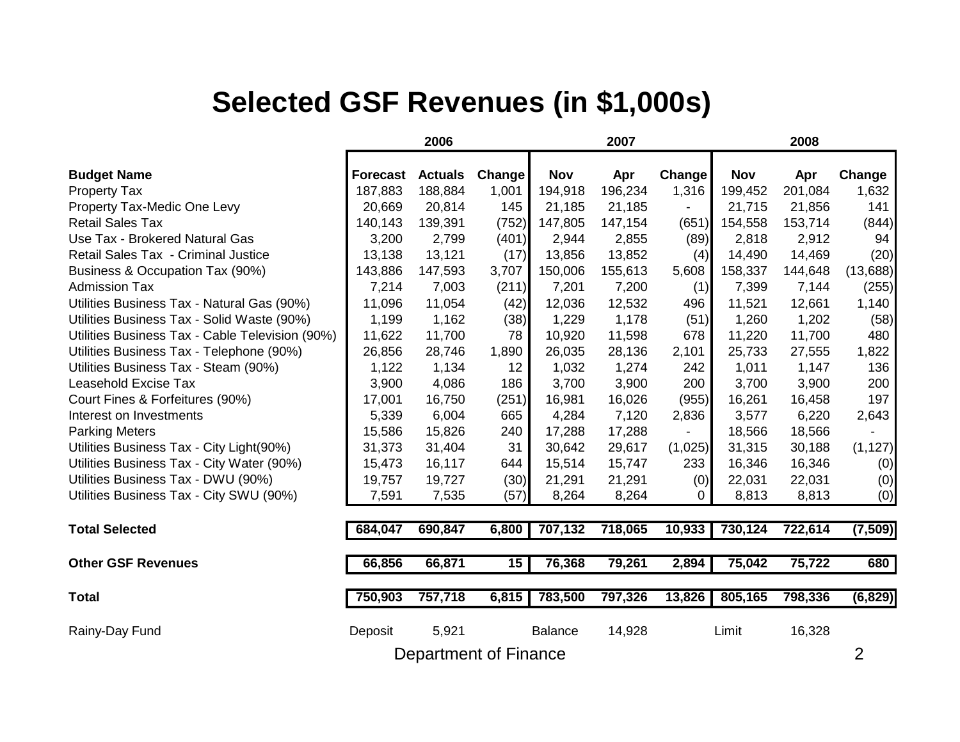## **Selected GSF Revenues (in \$1,000s)**

|                                                 | 2006            |                |                 | 2007           |         |                          | 2008       |         |          |
|-------------------------------------------------|-----------------|----------------|-----------------|----------------|---------|--------------------------|------------|---------|----------|
| <b>Budget Name</b>                              | <b>Forecast</b> | <b>Actuals</b> | Change          | <b>Nov</b>     | Apr     | Change                   | <b>Nov</b> | Apr     | Change   |
| <b>Property Tax</b>                             | 187,883         | 188,884        | 1,001           | 194,918        | 196,234 | 1,316                    | 199,452    | 201,084 | 1,632    |
| Property Tax-Medic One Levy                     | 20,669          | 20,814         | 145             | 21,185         | 21,185  | $\overline{\phantom{a}}$ | 21,715     | 21,856  | 141      |
| <b>Retail Sales Tax</b>                         | 140,143         | 139,391        | (752)           | 147,805        | 147,154 | (651)                    | 154,558    | 153,714 | (844)    |
| Use Tax - Brokered Natural Gas                  | 3,200           | 2,799          | (401)           | 2,944          | 2,855   | (89)                     | 2,818      | 2,912   | 94       |
| Retail Sales Tax - Criminal Justice             | 13,138          | 13,121         | (17)            | 13,856         | 13,852  | (4)                      | 14,490     | 14,469  | (20)     |
| Business & Occupation Tax (90%)                 | 143,886         | 147,593        | 3,707           | 150,006        | 155,613 | 5,608                    | 158,337    | 144,648 | (13,688) |
| <b>Admission Tax</b>                            | 7,214           | 7,003          | (211)           | 7,201          | 7,200   | (1)                      | 7,399      | 7,144   | (255)    |
| Utilities Business Tax - Natural Gas (90%)      | 11,096          | 11,054         | (42)            | 12,036         | 12,532  | 496                      | 11,521     | 12,661  | 1,140    |
| Utilities Business Tax - Solid Waste (90%)      | 1,199           | 1,162          | (38)            | 1,229          | 1,178   | (51)                     | 1,260      | 1,202   | (58)     |
| Utilities Business Tax - Cable Television (90%) | 11,622          | 11,700         | 78              | 10,920         | 11,598  | 678                      | 11,220     | 11,700  | 480      |
| Utilities Business Tax - Telephone (90%)        | 26,856          | 28,746         | 1,890           | 26,035         | 28,136  | 2,101                    | 25,733     | 27,555  | 1,822    |
| Utilities Business Tax - Steam (90%)            | 1,122           | 1,134          | 12              | 1,032          | 1,274   | 242                      | 1,011      | 1,147   | 136      |
| <b>Leasehold Excise Tax</b>                     | 3,900           | 4,086          | 186             | 3,700          | 3,900   | 200                      | 3,700      | 3,900   | 200      |
| Court Fines & Forfeitures (90%)                 | 17,001          | 16,750         | (251)           | 16,981         | 16,026  | (955)                    | 16,261     | 16,458  | 197      |
| Interest on Investments                         | 5,339           | 6,004          | 665             | 4,284          | 7,120   | 2,836                    | 3,577      | 6,220   | 2,643    |
| <b>Parking Meters</b>                           | 15,586          | 15,826         | 240             | 17,288         | 17,288  |                          | 18,566     | 18,566  |          |
| Utilities Business Tax - City Light(90%)        | 31,373          | 31,404         | 31              | 30,642         | 29,617  | (1,025)                  | 31,315     | 30,188  | (1, 127) |
| Utilities Business Tax - City Water (90%)       | 15,473          | 16,117         | 644             | 15,514         | 15,747  | 233                      | 16,346     | 16,346  | (0)      |
| Utilities Business Tax - DWU (90%)              | 19,757          | 19,727         | (30)            | 21,291         | 21,291  | (0)                      | 22,031     | 22,031  | (0)      |
| Utilities Business Tax - City SWU (90%)         | 7,591           | 7,535          | (57)            | 8,264          | 8,264   | 0                        | 8,813      | 8,813   | (0)      |
| <b>Total Selected</b>                           | 684,047         | 690,847        | 6,800           | 707,132        | 718,065 | 10,933                   | 730,124    | 722,614 | (7, 509) |
| <b>Other GSF Revenues</b>                       | 66,856          | 66,871         | $\overline{15}$ | 76,368         | 79,261  | 2,894                    | 75,042     | 75,722  | 680      |
| <b>Total</b>                                    | 750,903         | 757,718        | 6,815           | 783,500        | 797,326 | 13,826                   | 805,165    | 798,336 | (6, 829) |
| Rainy-Day Fund                                  | Deposit         | 5,921          |                 | <b>Balance</b> | 14,928  |                          | Limit      | 16,328  |          |
| Department of Finance                           |                 |                |                 |                |         |                          |            |         |          |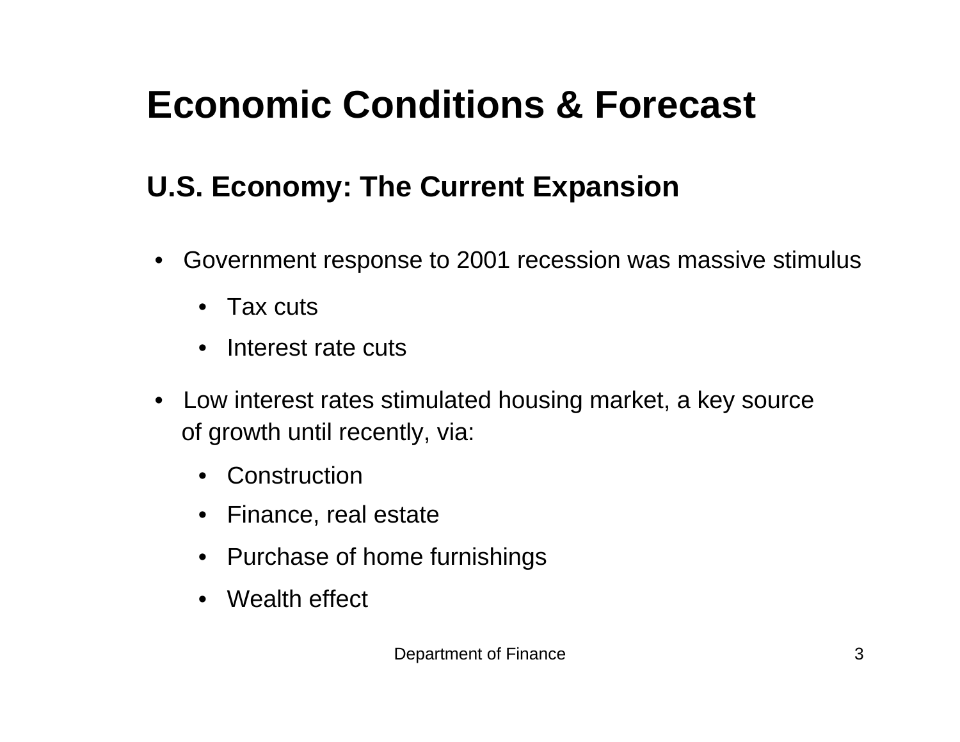# **Economic Conditions & Forecast**

# **U.S. Economy: The Current Expansion**

- • Government response to 2001 recession was massive stimulus
	- Tax cuts
	- Interest rate cuts
- Low interest rates stimulated housing market, a key source of growth until recently, via:
	- Construction
	- Finance, real estate
	- Purchase of home furnishings
	- Wealth effect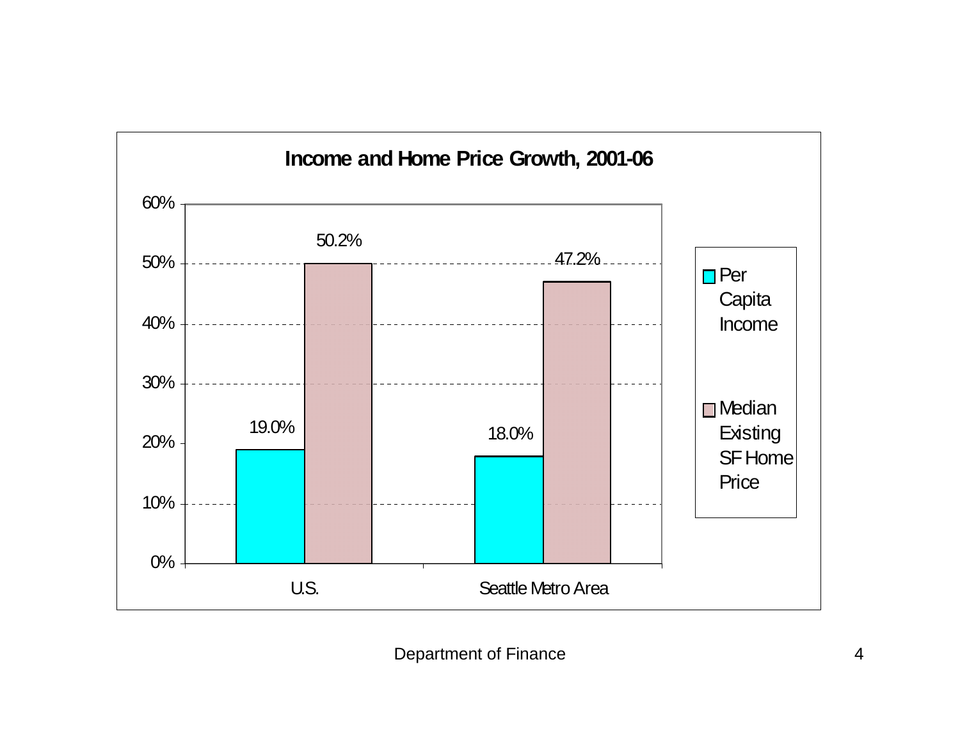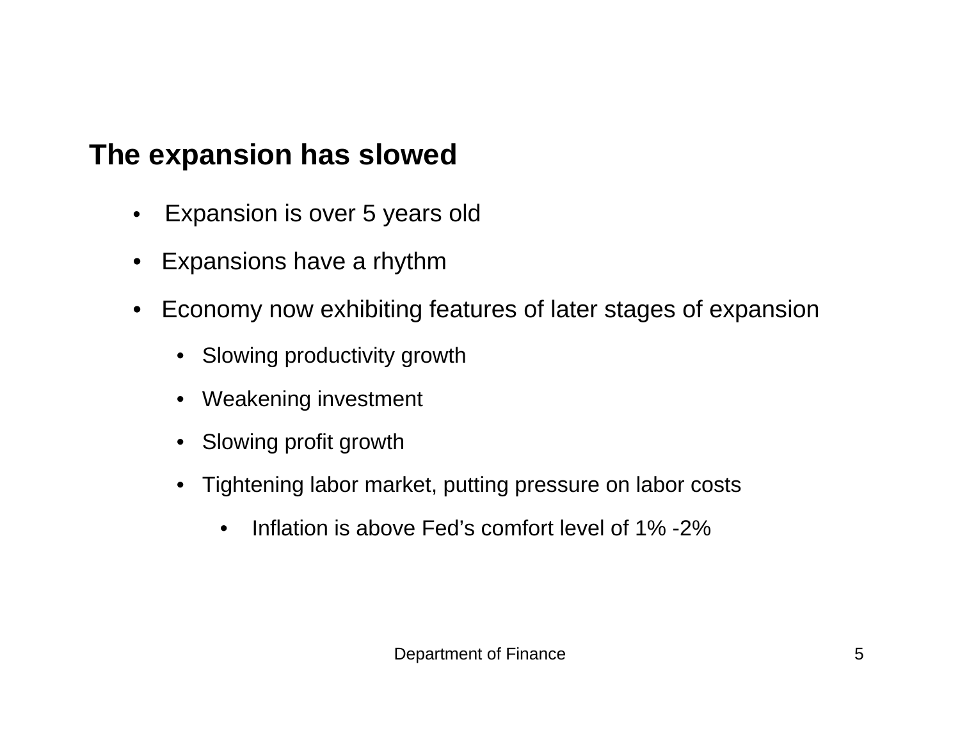#### **The expansion has slowed**

- $\bullet$ Expansion is over 5 years old
- $\bullet$ Expansions have a rhythm
- $\bullet$  Economy now exhibiting features of later stages of expansion
	- Slowing productivity growth
	- $\bullet$ Weakening investment
	- $\bullet$ Slowing profit growth
	- $\bullet$  Tightening labor market, putting pressure on labor costs
		- $\bullet$ Inflation is above Fed's comfort level of 1% -2%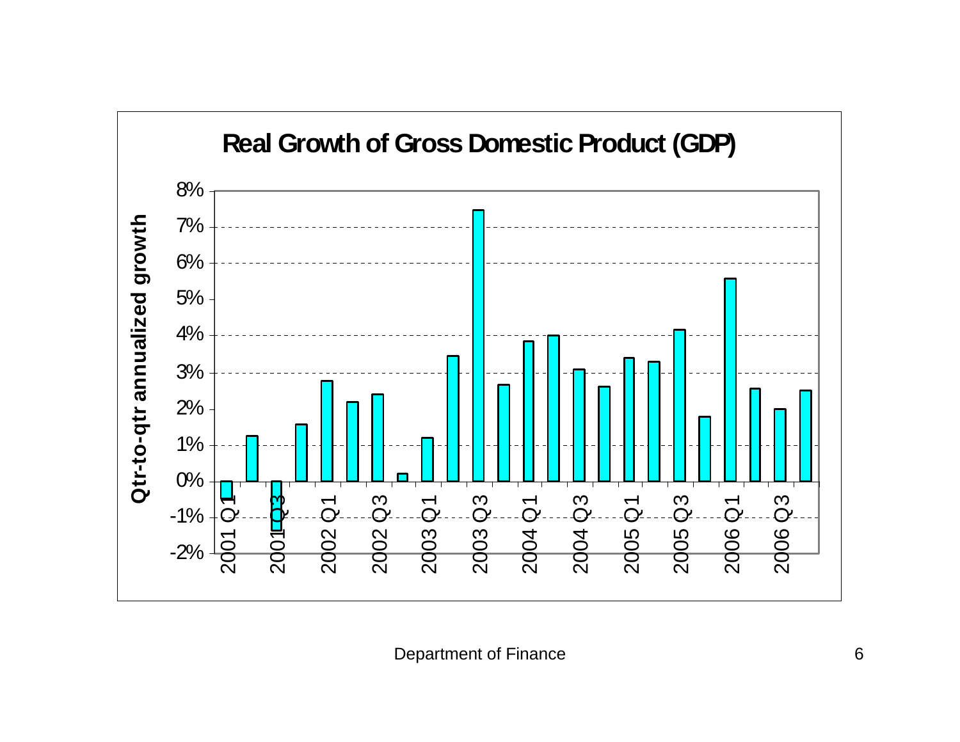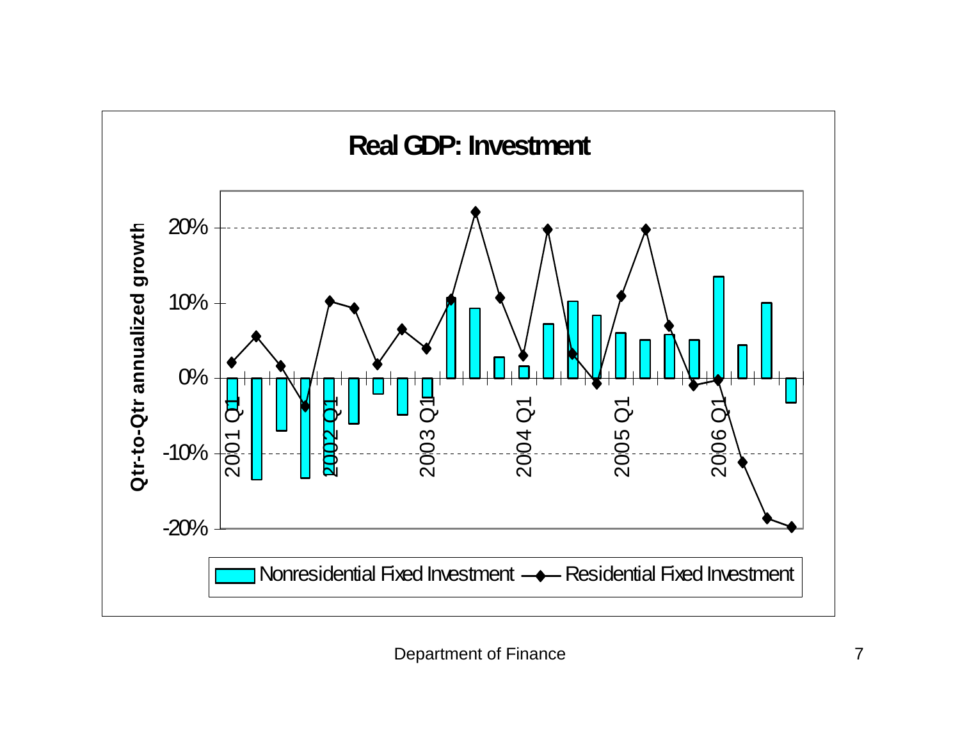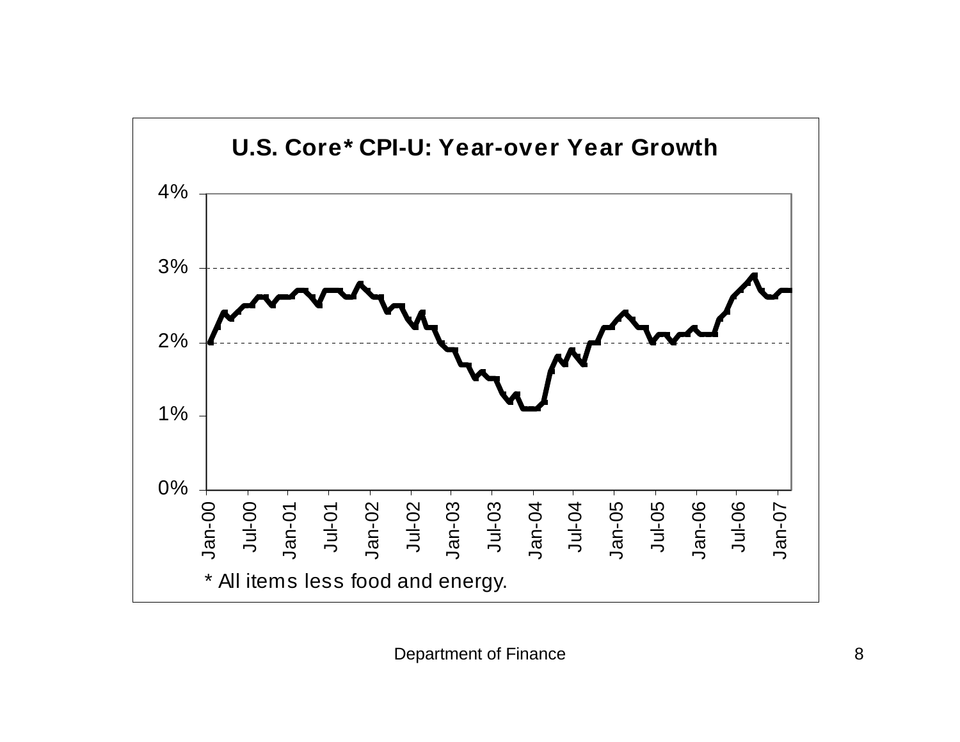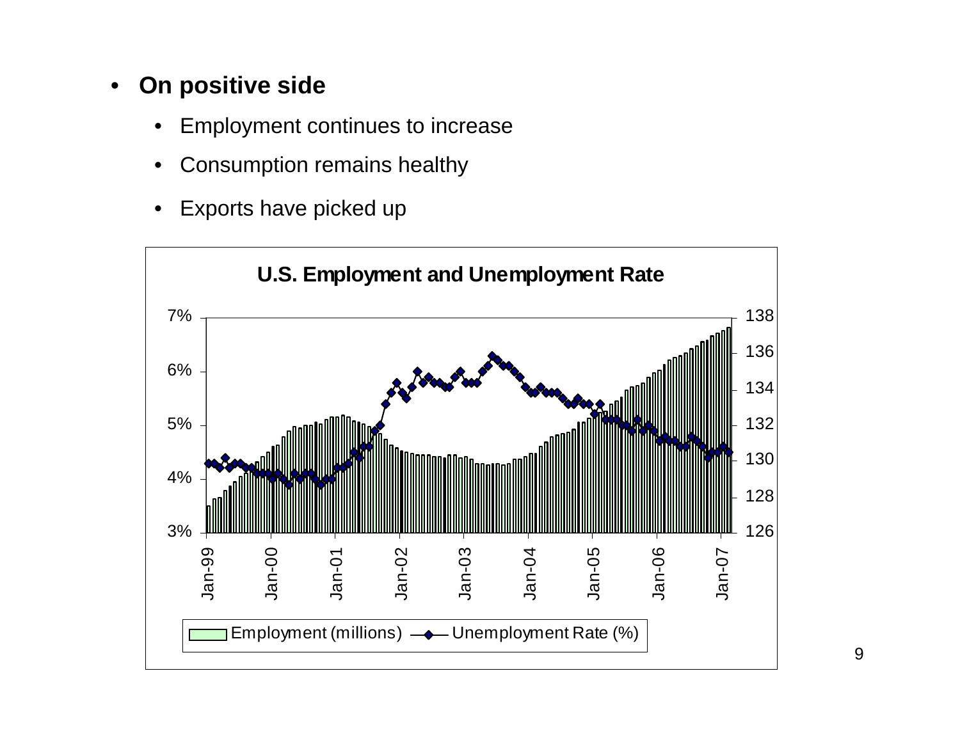#### •**On positive side**

- •Employment continues to increase
- •Consumption remains healthy
- •Exports have picked up

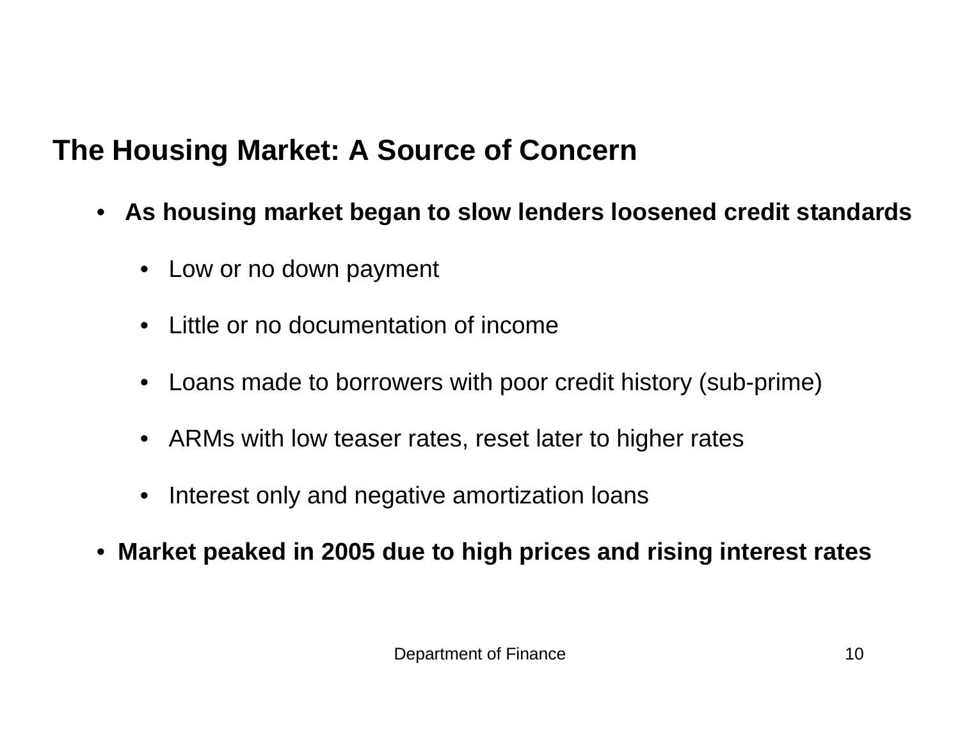## **The Housing Market: A Source of Concern**

- **As housing market began to slow lenders loosened credit standards**
	- Low or no down payment
	- Little or no documentation of income
	- Loans made to borrowers with poor credit history (sub-prime)
	- ARMs with low teaser rates, reset later to higher rates
	- •Interest only and negative amortization loans
- $\bullet$ **Market peaked in 2005 due to high prices and rising interest rates**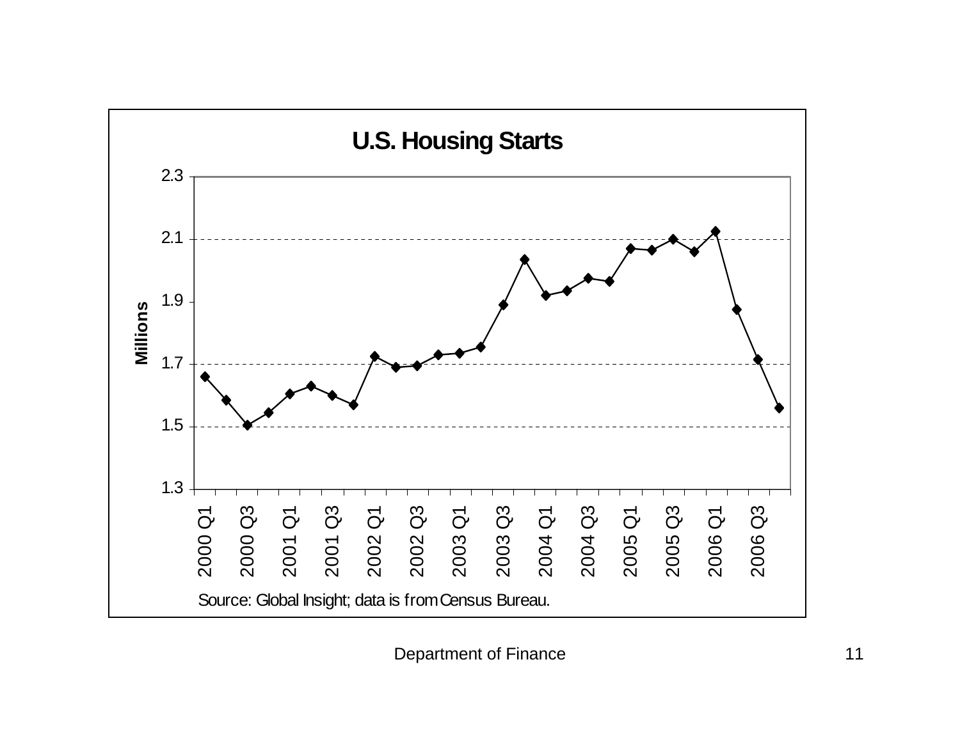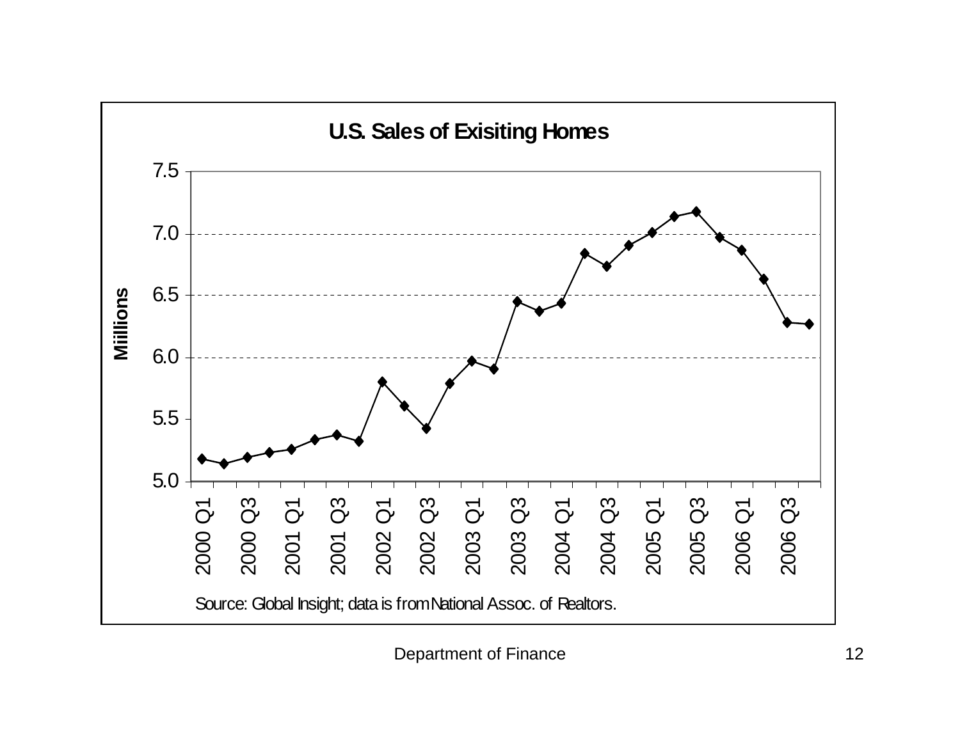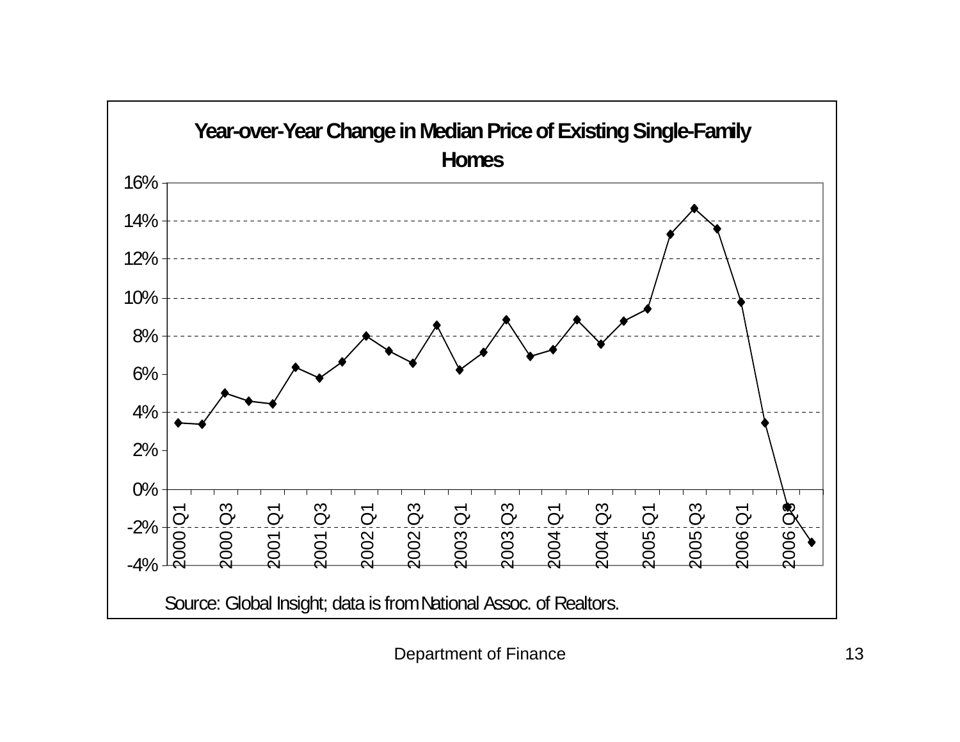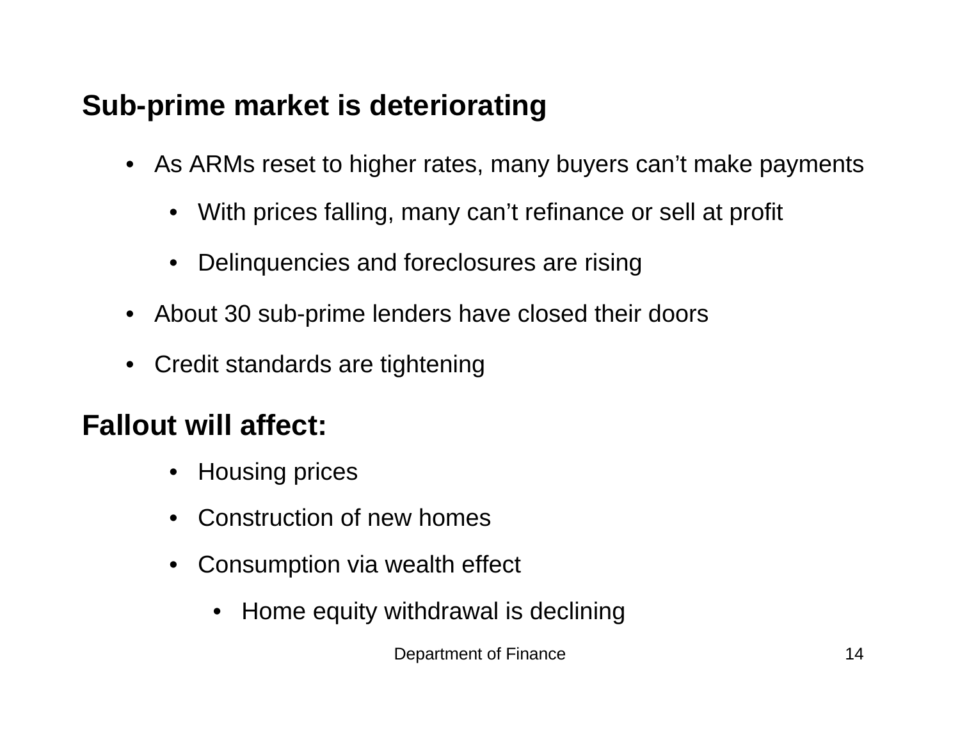## **Sub-prime market is deteriorating**

- As ARMs reset to higher rates, many buyers can't make payments
	- With prices falling, many can't refinance or sell at profit
	- $\bullet$ Delinquencies and foreclosures are rising
- $\bullet$ About 30 sub-prime lenders have closed their doors
- $\bullet$ Credit standards are tightening

## **Fallout will affect:**

- $\bullet$ Housing prices
- Construction of new homes
- Consumption via wealth effect
	- •Home equity withdrawal is declining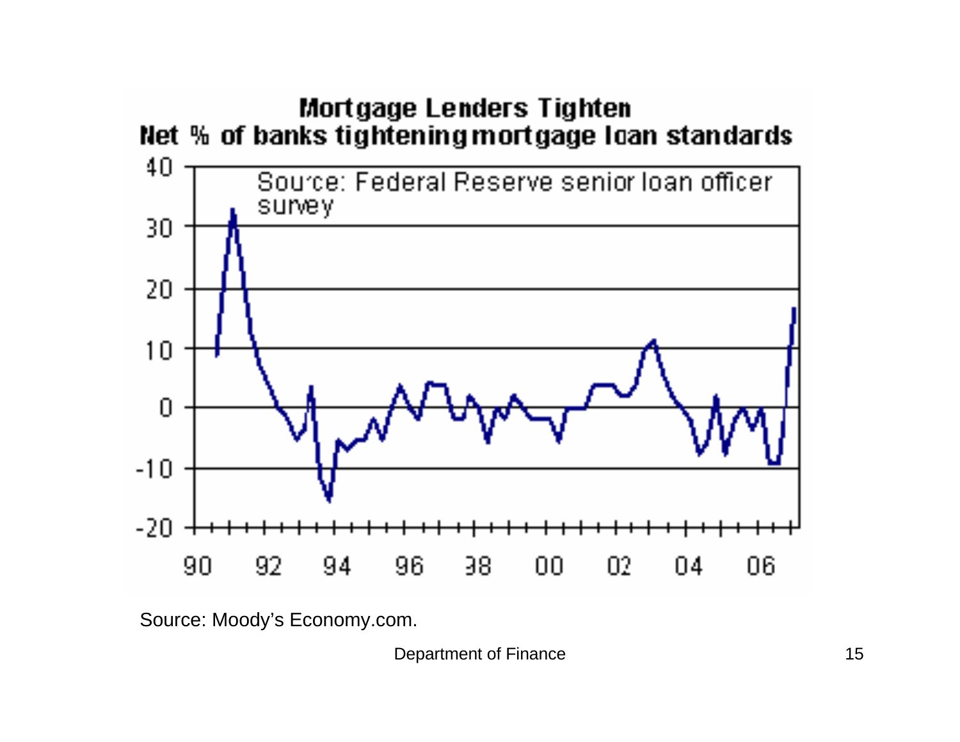

Source: Moody's Economy.com.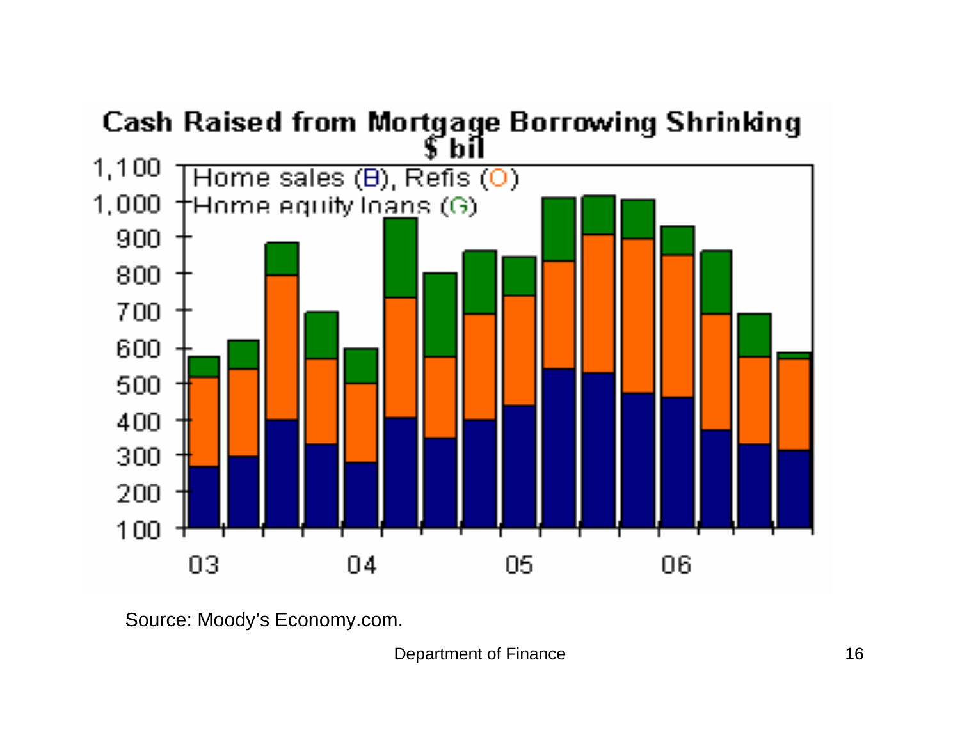

Source: Moody's Economy.com.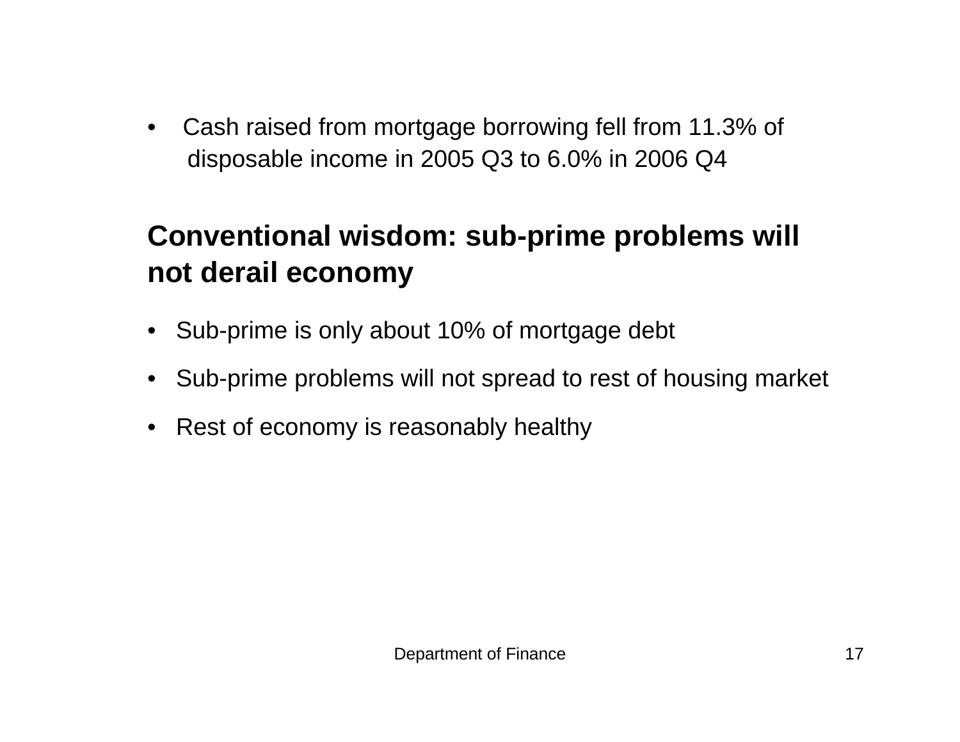$\bullet$  Cash raised from mortgage borrowing fell from 11.3% of disposable income in 2005 Q3 to 6.0% in 2006 Q4

# **Conventional wisdom: sub-prime problems will not derail economy**

- Sub-prime is only about 10% of mortgage debt
- $\bullet$ Sub-prime problems will not spread to rest of housing market
- $\bullet$ Rest of economy is reasonably healthy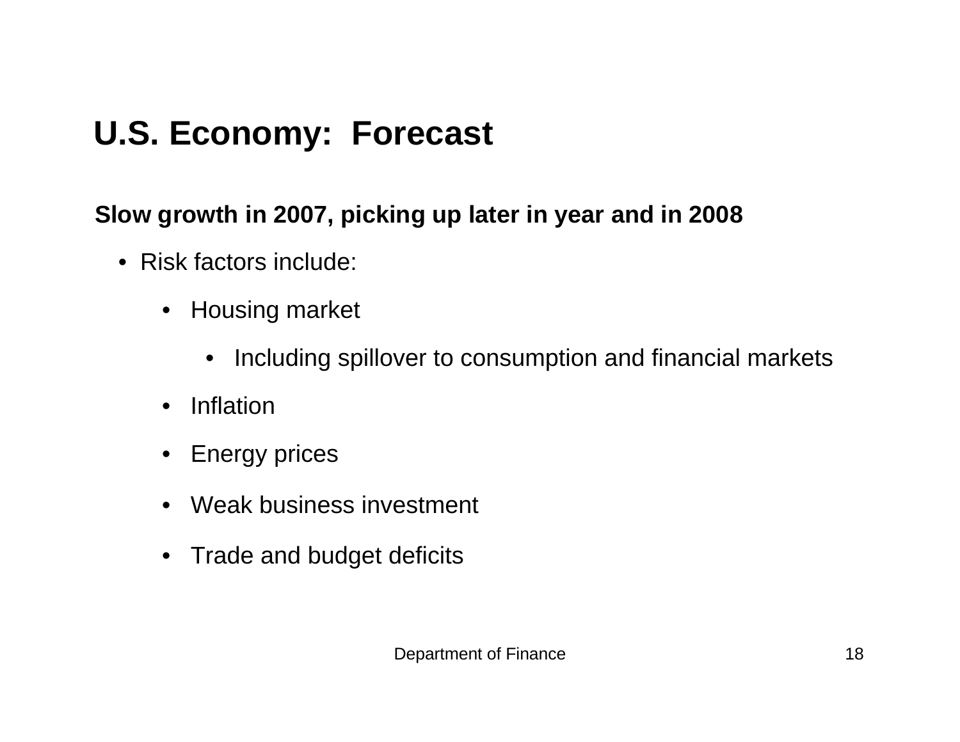# **U.S. Economy: Forecast**

#### **Slow growth in 2007, picking up later in year and in 2008**

- Risk factors include:
	- $\bullet$  Housing market
		- Including spillover to consumption and financial markets
	- $\bullet$ Inflation
	- •Energy prices
	- Weak business investment
	- Trade and budget deficits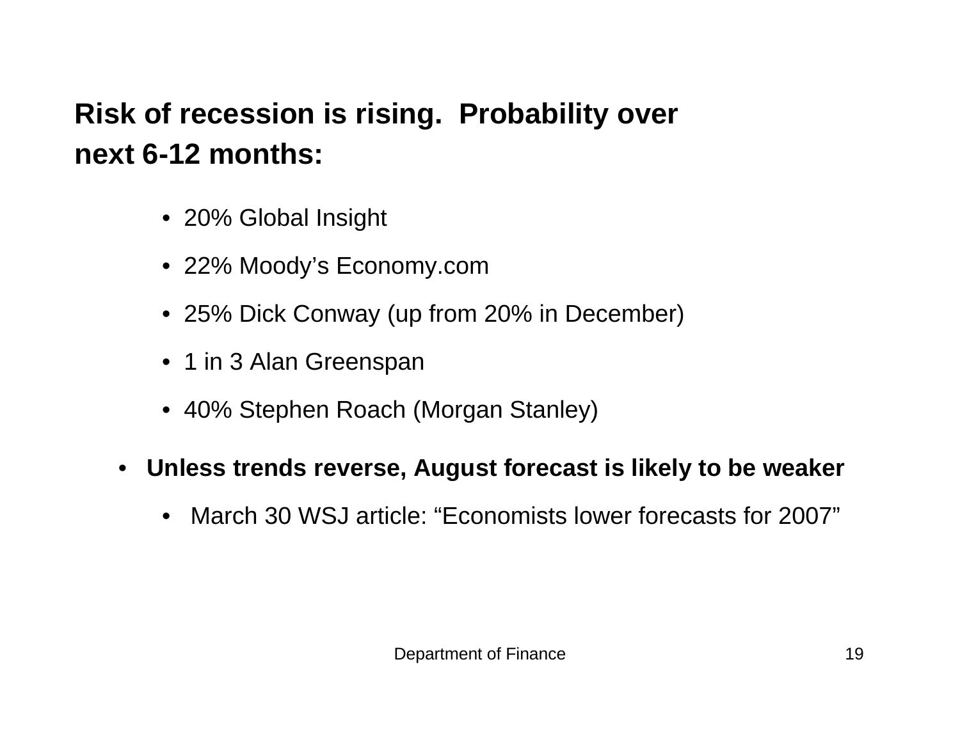# **Risk of recession is rising. Probability over next 6-12 months:**

- 20% Global Insight
- 22% Moody's Economy.com
- 25% Dick Conway (up from 20% in December)
- 1 in 3 Alan Greenspan
- 40% Stephen Roach (Morgan Stanley)
- **Unless trends reverse, August forecast is likely to be weaker**
	- March 30 WSJ article: "Economists lower forecasts for 2007"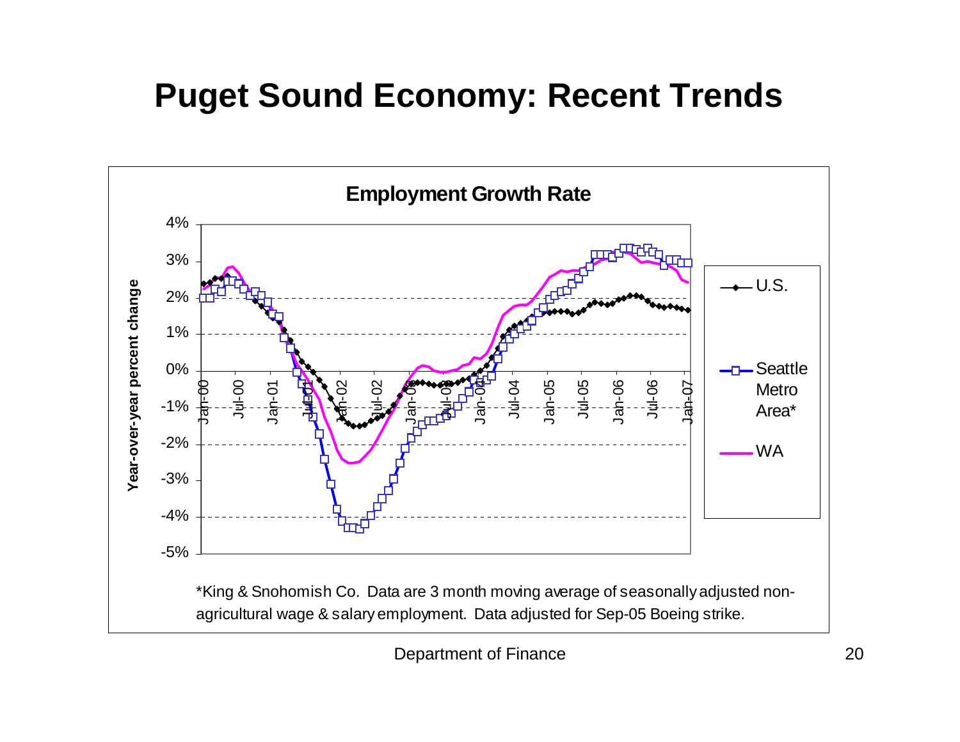# **Puget Sound Economy: Recent Trends**

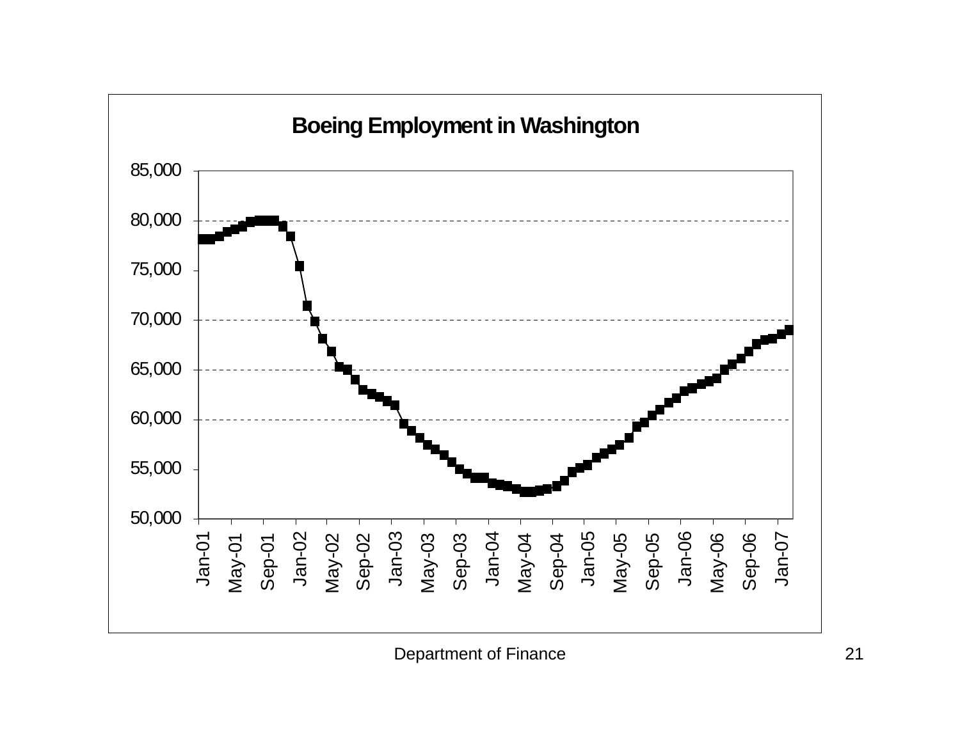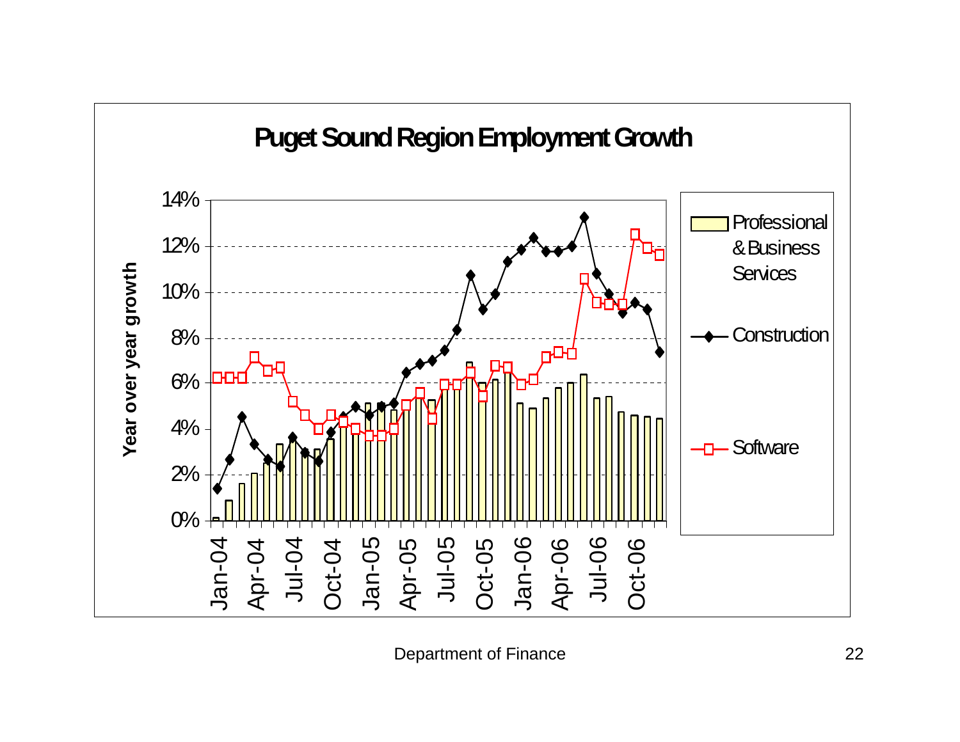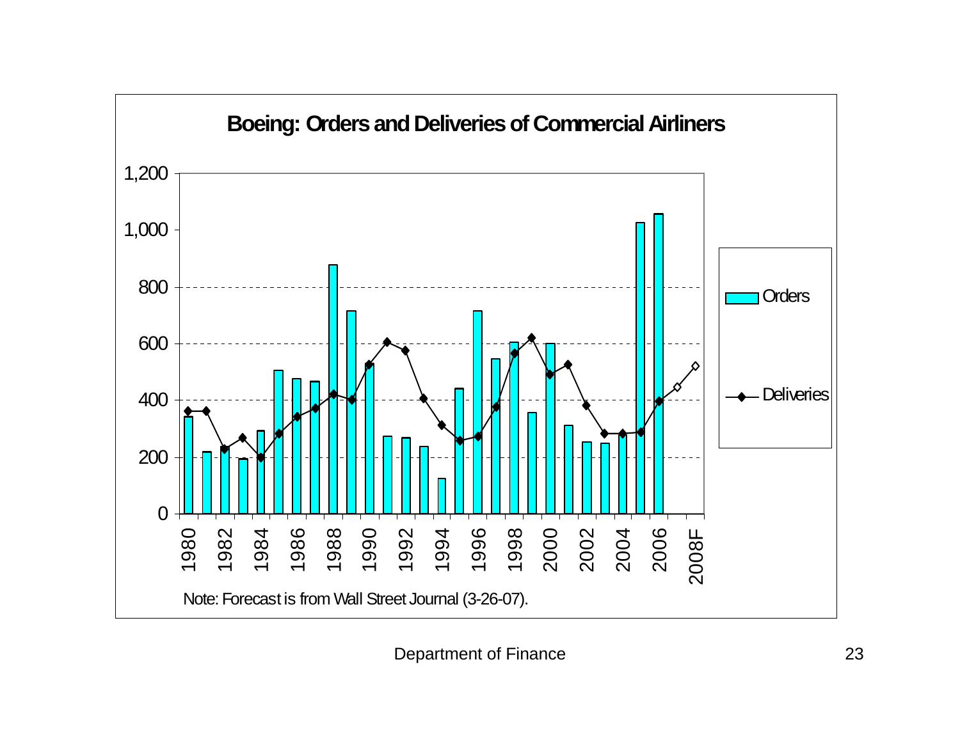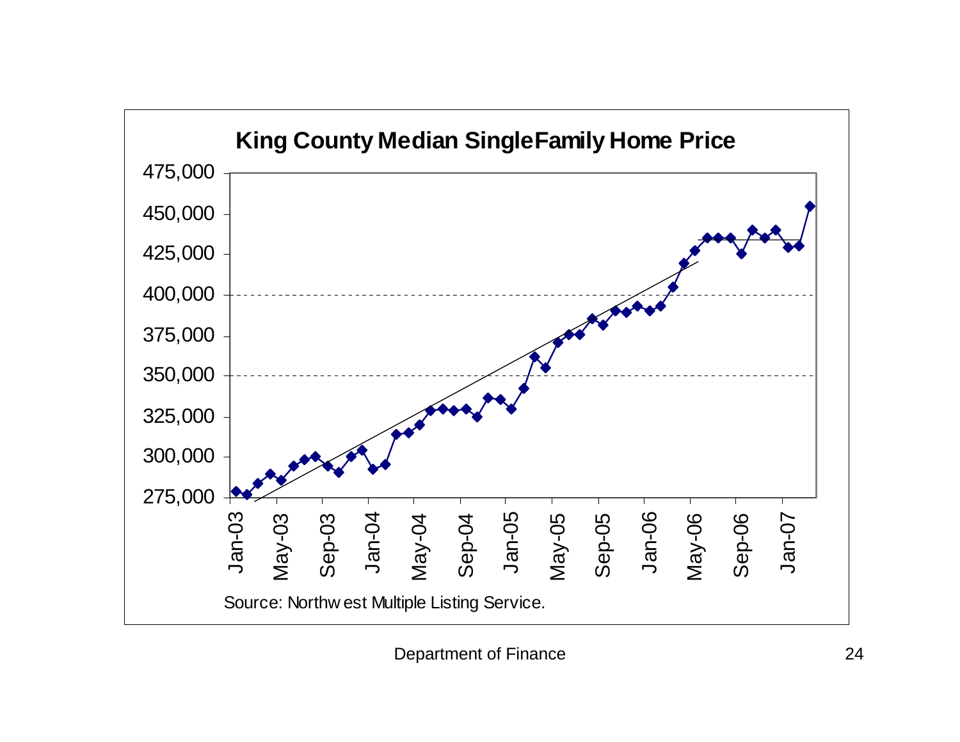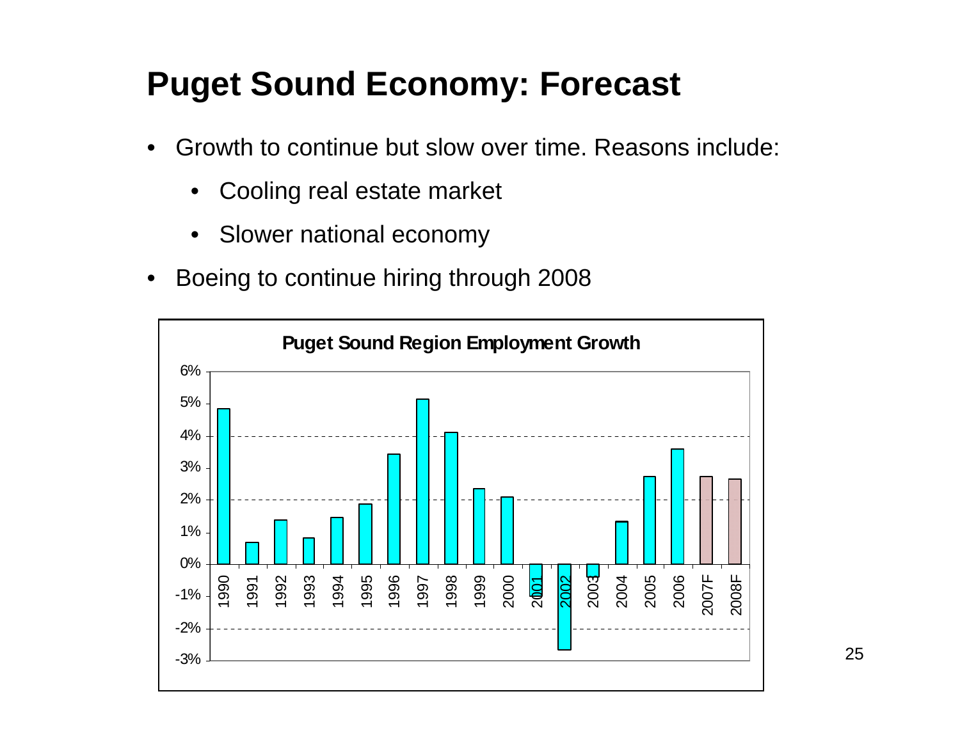# **Puget Sound Economy: Forecast**

- $\bullet$  Growth to continue but slow over time. Reasons include:
	- •Cooling real estate market
	- •Slower national economy
- •Boeing to continue hiring through 2008

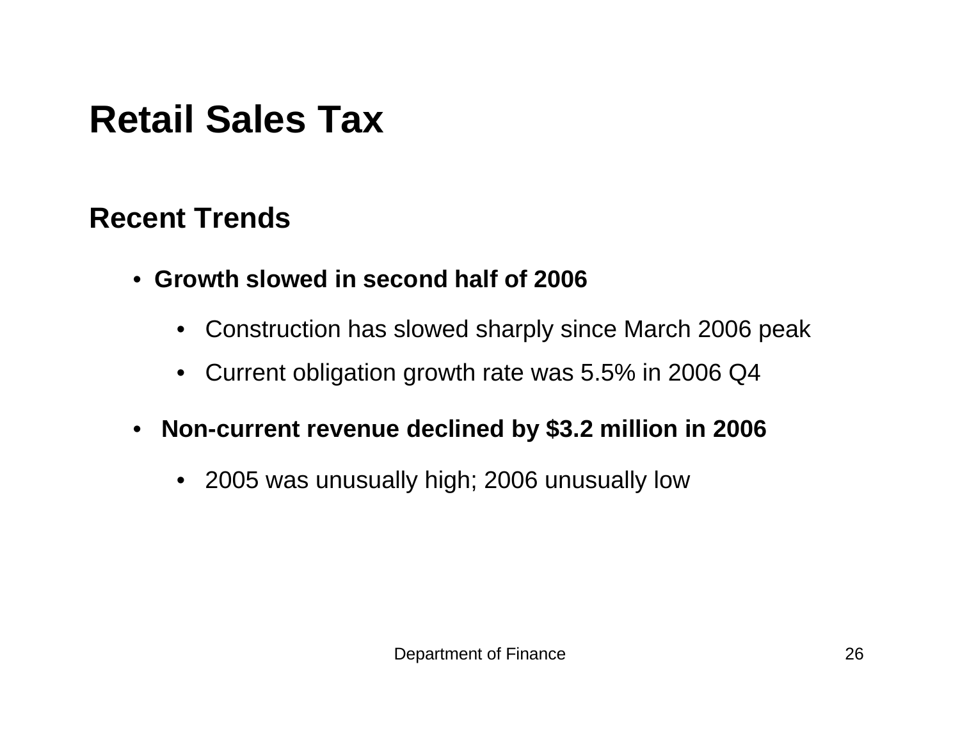# **Retail Sales Tax**

#### **Recent Trends**

- **Growth slowed in second half of 2006** 
	- Construction has slowed sharply since March 2006 peak
	- $\bullet$ Current obligation growth rate was 5.5% in 2006 Q4
- $\bullet$  **Non-current revenue declined by \$3.2 million in 2006**
	- 2005 was unusually high; 2006 unusually low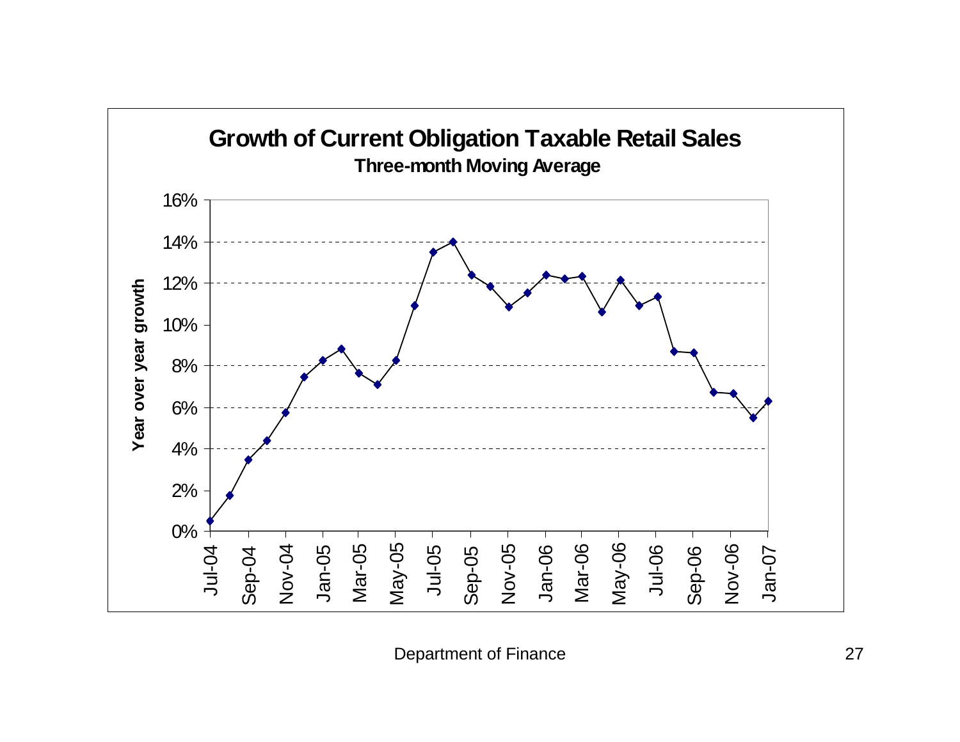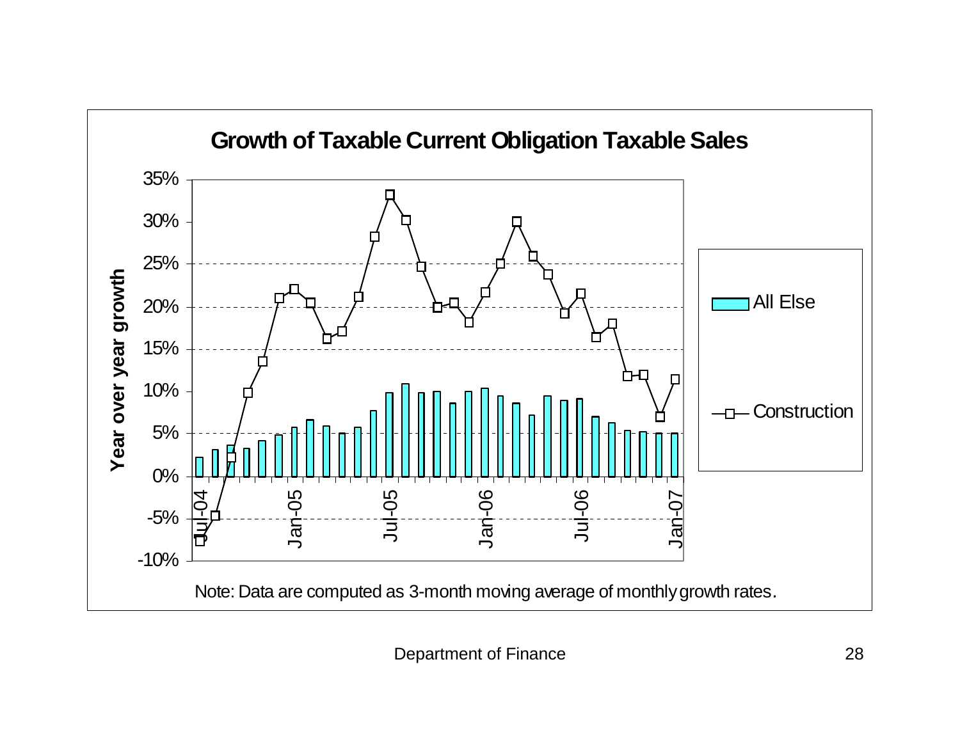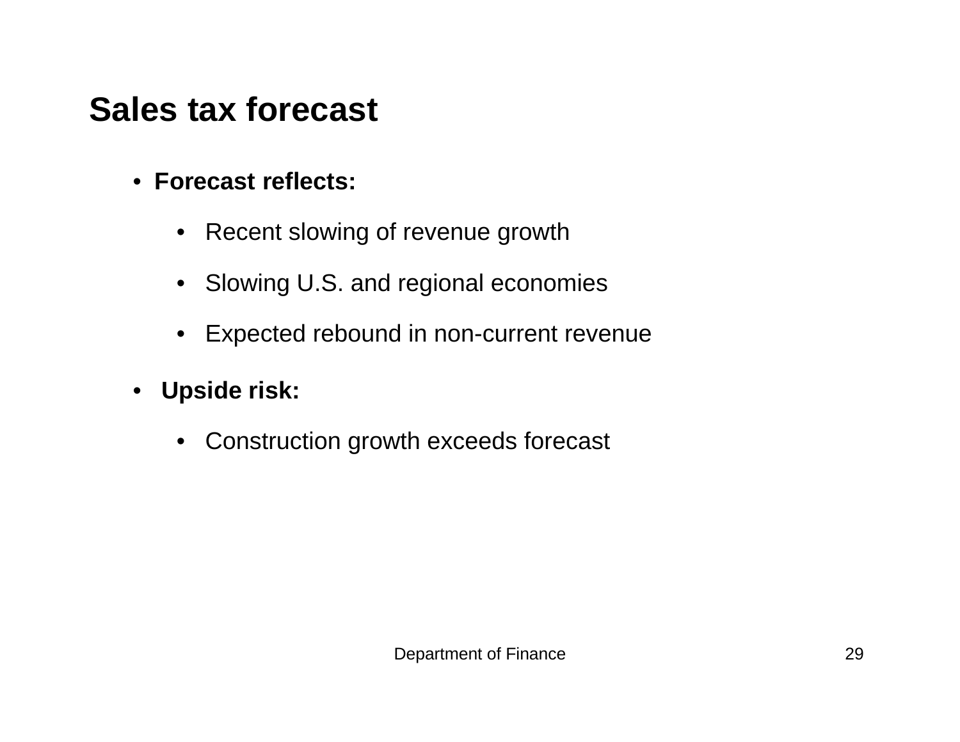# **Sales tax forecast**

- **Forecast reflects:** 
	- Recent slowing of revenue growth
	- Slowing U.S. and regional economies
	- $\bullet$ Expected rebound in non-current revenue
- **Upside risk:** 
	- Construction growth exceeds forecast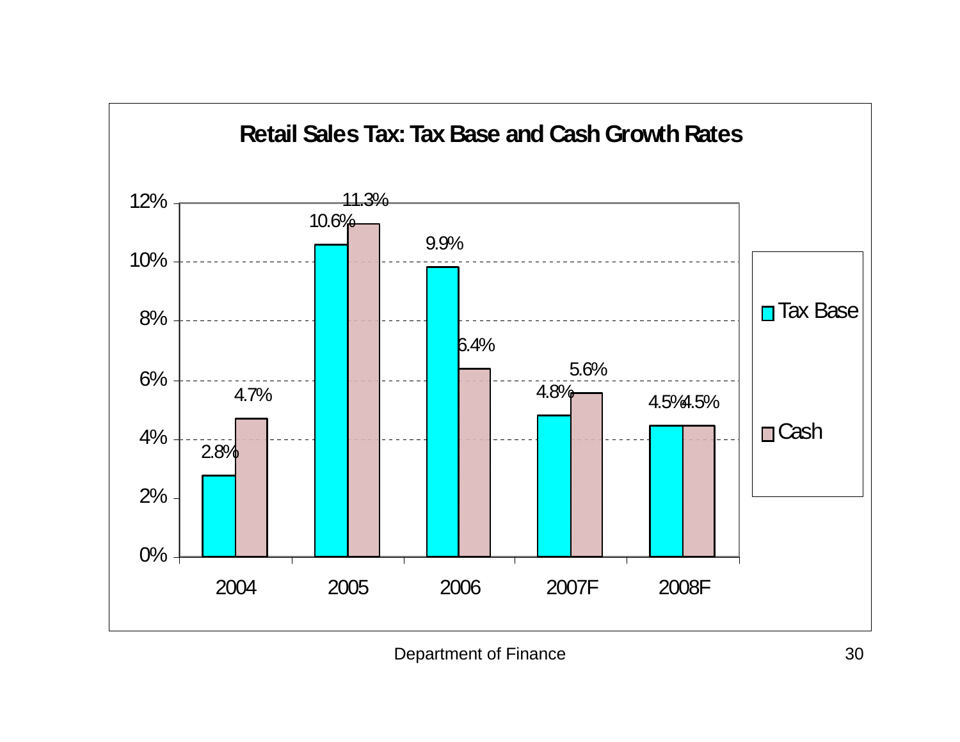

Department of Finance 30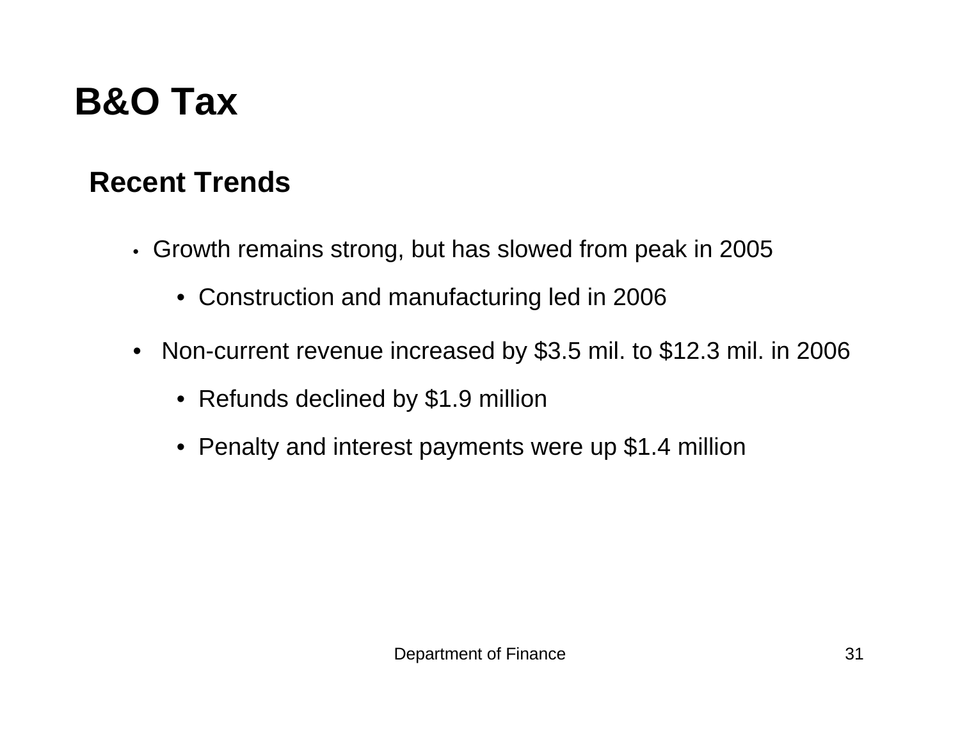# **B&O Tax**

## **Recent Trends**

- Growth remains strong, but has slowed from peak in 2005
	- Construction and manufacturing led in 2006
- Non-current revenue increased by \$3.5 mil. to \$12.3 mil. in 2006
	- Refunds declined by \$1.9 million
	- Penalty and interest payments were up \$1.4 million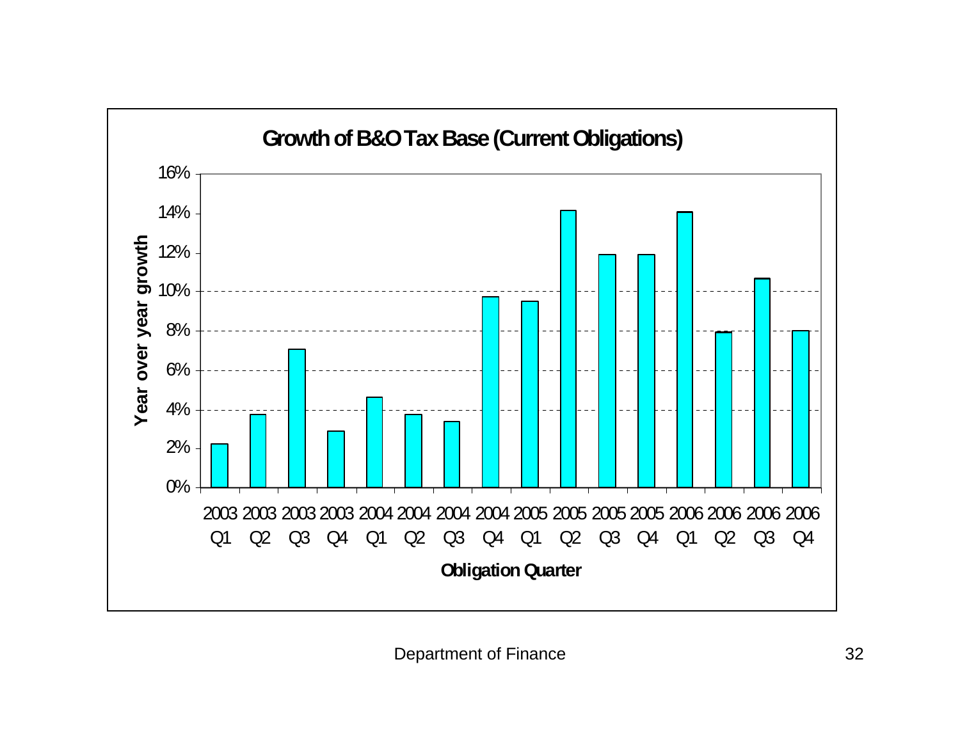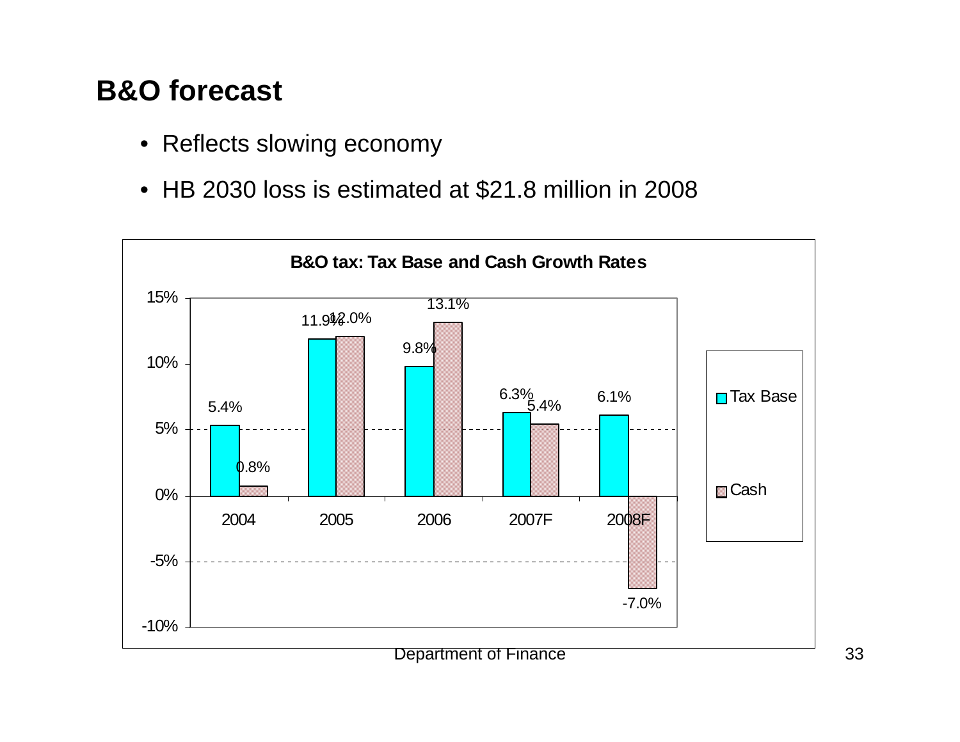## **B&O forecast**

- Reflects slowing economy
- HB 2030 loss is estimated at \$21.8 million in 2008

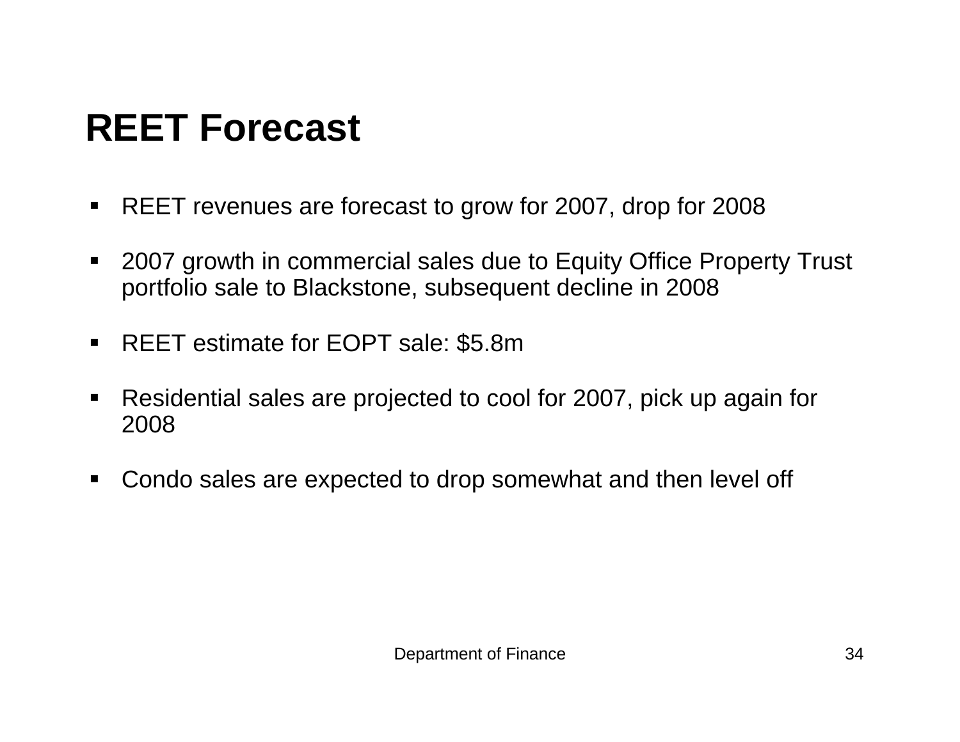# **REET Forecast**

- $\blacksquare$ REET revenues are forecast to grow for 2007, drop for 2008
- 2007 growth in commercial sales due to Equity Office Property Trust portfolio sale to Blackstone, subsequent decline in 2008
- REET estimate for EOPT sale: \$5.8m
- $\blacksquare$  Residential sales are projected to cool for 2007, pick up again for 2008
- Condo sales are expected to drop somewhat and then level off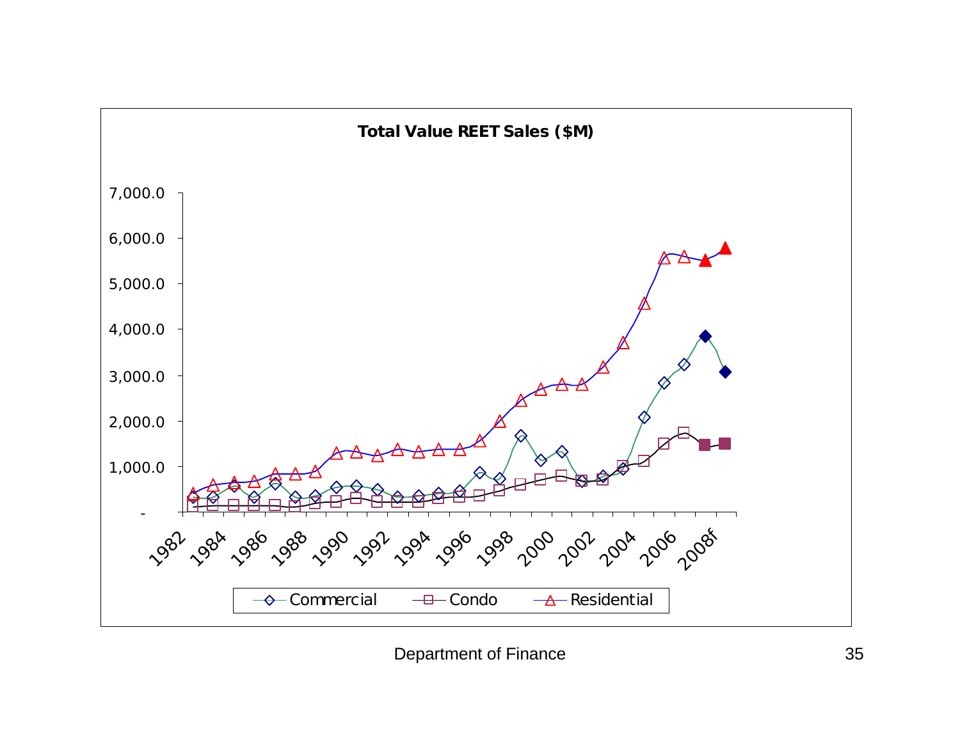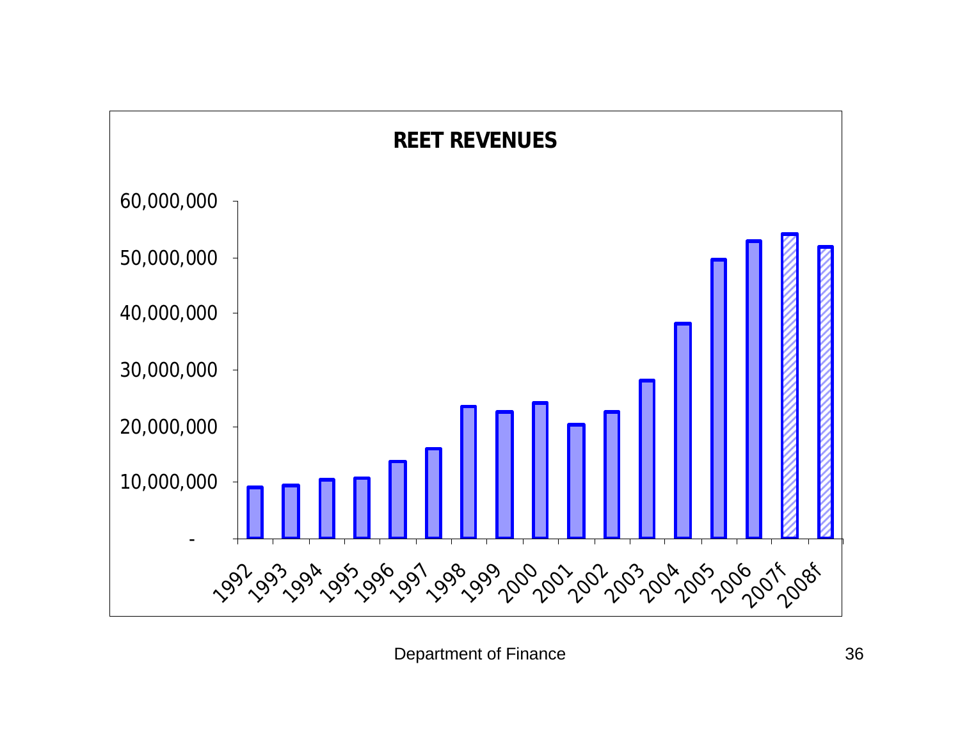